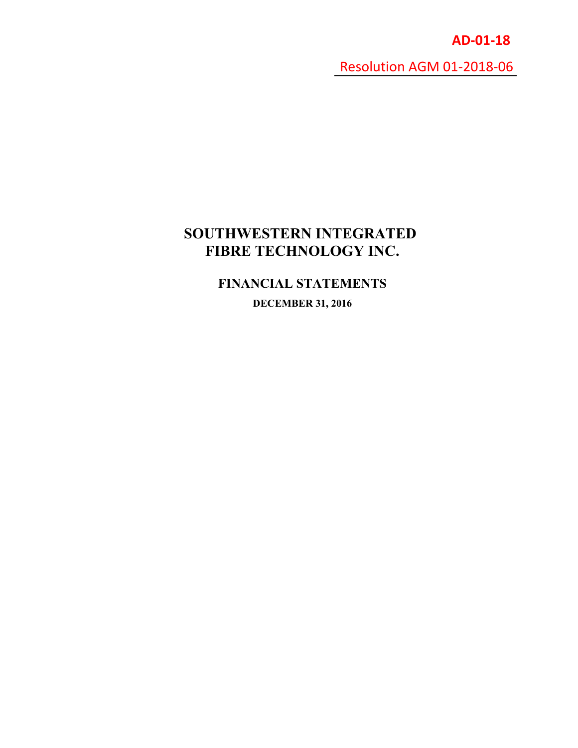**AD-01-18**

[Resolution AGM 01-2018-06](https://swiftnetwork.sharepoint.com/:b:/g/EcRuHpILtbVFk9b5BWSuWE0B__y0EkvlAkqqWZpjUiBnug?e=K64Z7f)

## **SOUTHWESTERN INTEGRATED FIBRE TECHNOLOGY INC.**

**FINANCIAL STATEMENTS DECEMBER 31, 2016**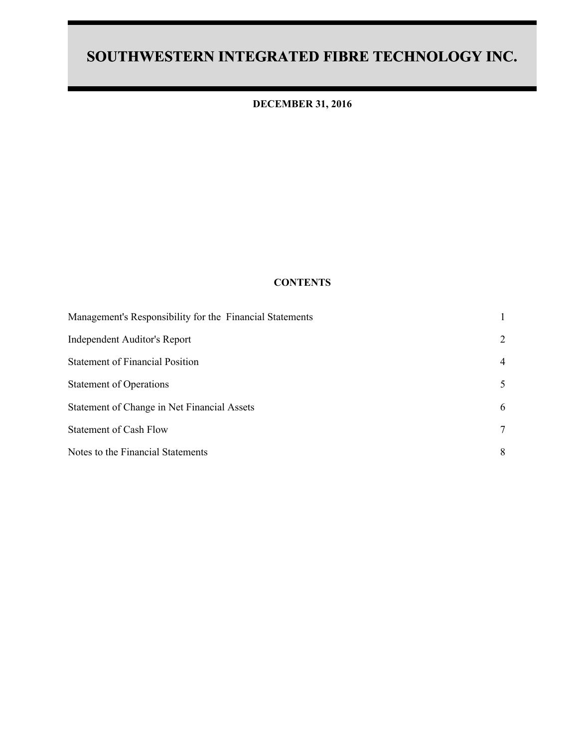### **DECEMBER 31, 2016**

### **CONTENTS**

| Management's Responsibility for the Financial Statements |                |
|----------------------------------------------------------|----------------|
| Independent Auditor's Report                             | 2              |
| <b>Statement of Financial Position</b>                   | $\overline{4}$ |
| <b>Statement of Operations</b>                           | 5              |
| Statement of Change in Net Financial Assets              | 6              |
| <b>Statement of Cash Flow</b>                            | 7              |
| Notes to the Financial Statements                        | 8              |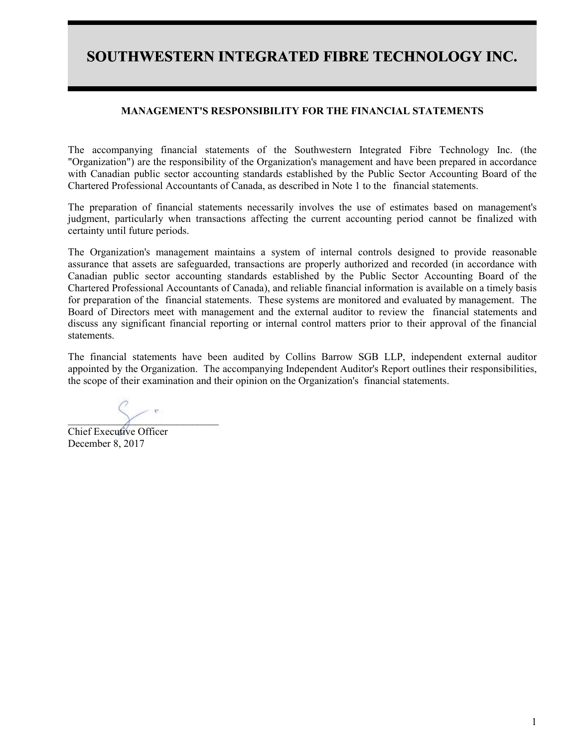### **MANAGEMENT'S RESPONSIBILITY FOR THE FINANCIAL STATEMENTS**

The accompanying financial statements of the Southwestern Integrated Fibre Technology Inc. (the "Organization") are the responsibility of the Organization's management and have been prepared in accordance with Canadian public sector accounting standards established by the Public Sector Accounting Board of the Chartered Professional Accountants of Canada, as described in Note 1 to the financial statements.

The preparation of financial statements necessarily involves the use of estimates based on management's judgment, particularly when transactions affecting the current accounting period cannot be finalized with certainty until future periods.

The Organization's management maintains a system of internal controls designed to provide reasonable assurance that assets are safeguarded, transactions are properly authorized and recorded (in accordance with Canadian public sector accounting standards established by the Public Sector Accounting Board of the Chartered Professional Accountants of Canada), and reliable financial information is available on a timely basis for preparation of the financial statements. These systems are monitored and evaluated by management. The Board of Directors meet with management and the external auditor to review the financial statements and discuss any significant financial reporting or internal control matters prior to their approval of the financial statements.

The financial statements have been audited by Collins Barrow SGB LLP, independent external auditor appointed by the Organization. The accompanying Independent Auditor's Report outlines their responsibilities, the scope of their examination and their opinion on the Organization's financial statements.

 $\chi$ 

Chief Executive Officer December 8, 2017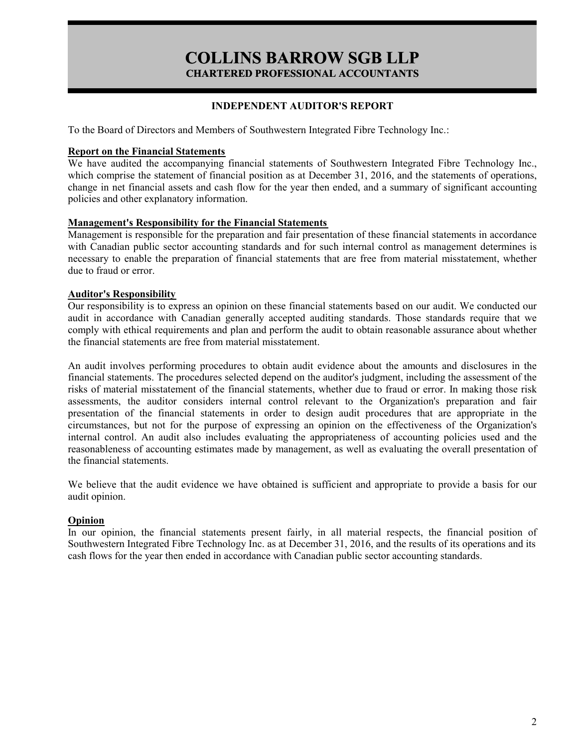### **COLLINS BARROW SGB LLP CHARTERED PROFESSIONAL ACCOUNTANTS**

### **INDEPENDENT AUDITOR'S REPORT**

To the Board of Directors and Members of Southwestern Integrated Fibre Technology Inc.:

### **Report on the Financial Statements**

We have audited the accompanying financial statements of Southwestern Integrated Fibre Technology Inc., which comprise the statement of financial position as at December 31, 2016, and the statements of operations, change in net financial assets and cash flow for the year then ended, and a summary of significant accounting policies and other explanatory information.

### **Management's Responsibility for the Financial Statements**

Management is responsible for the preparation and fair presentation of these financial statements in accordance with Canadian public sector accounting standards and for such internal control as management determines is necessary to enable the preparation of financial statements that are free from material misstatement, whether due to fraud or error.

### **Auditor's Responsibility**

Our responsibility is to express an opinion on these financial statements based on our audit. We conducted our audit in accordance with Canadian generally accepted auditing standards. Those standards require that we comply with ethical requirements and plan and perform the audit to obtain reasonable assurance about whether the financial statements are free from material misstatement.

An audit involves performing procedures to obtain audit evidence about the amounts and disclosures in the financial statements. The procedures selected depend on the auditor's judgment, including the assessment of the risks of material misstatement of the financial statements, whether due to fraud or error. In making those risk assessments, the auditor considers internal control relevant to the Organization's preparation and fair presentation of the financial statements in order to design audit procedures that are appropriate in the circumstances, but not for the purpose of expressing an opinion on the effectiveness of the Organization's internal control. An audit also includes evaluating the appropriateness of accounting policies used and the reasonableness of accounting estimates made by management, as well as evaluating the overall presentation of the financial statements.

We believe that the audit evidence we have obtained is sufficient and appropriate to provide a basis for our audit opinion.

### **Opinion**

In our opinion, the financial statements present fairly, in all material respects, the financial position of Southwestern Integrated Fibre Technology Inc. as at December 31, 2016, and the results of its operations and its cash flows for the year then ended in accordance with Canadian public sector accounting standards.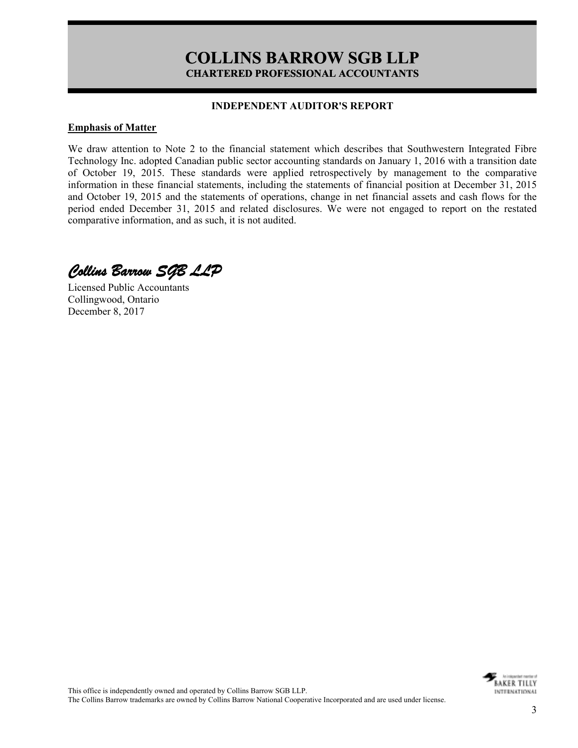### **COLLINS BARROW SGB LLP CHARTERED PROFESSIONAL ACCOUNTANTS**

### **INDEPENDENT AUDITOR'S REPORT**

### **Emphasis of Matter**

We draw attention to Note 2 to the financial statement which describes that Southwestern Integrated Fibre Technology Inc. adopted Canadian public sector accounting standards on January 1, 2016 with a transition date of October 19, 2015. These standards were applied retrospectively by management to the comparative information in these financial statements, including the statements of financial position at December 31, 2015 and October 19, 2015 and the statements of operations, change in net financial assets and cash flows for the period ended December 31, 2015 and related disclosures. We were not engaged to report on the restated comparative information, and as such, it is not audited.

*Collins Barrow SGB LLP*

Licensed Public Accountants Collingwood, Ontario December 8, 2017

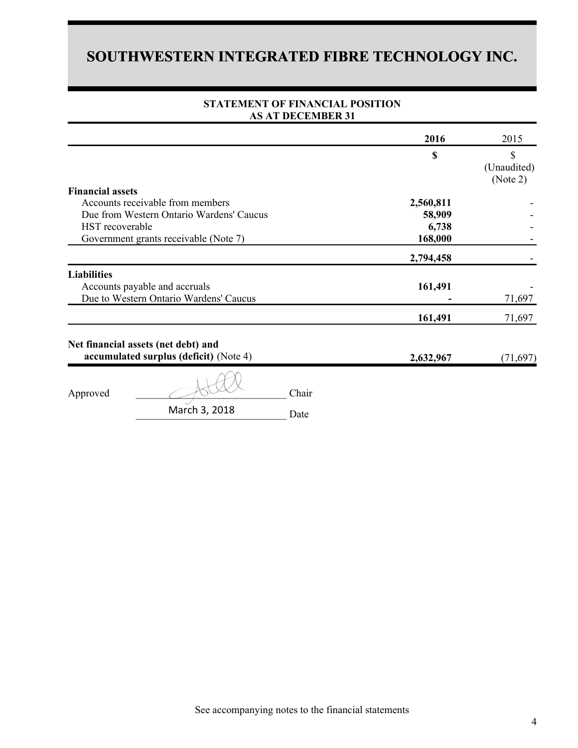|                                            |                                                                                                                       |               | 2016                                    | 2015                          |
|--------------------------------------------|-----------------------------------------------------------------------------------------------------------------------|---------------|-----------------------------------------|-------------------------------|
|                                            |                                                                                                                       |               | \$                                      | \$<br>(Unaudited)<br>(Note 2) |
| <b>Financial assets</b><br>HST recoverable | Accounts receivable from members<br>Due from Western Ontario Wardens' Caucus<br>Government grants receivable (Note 7) |               | 2,560,811<br>58,909<br>6,738<br>168,000 |                               |
|                                            |                                                                                                                       |               | 2,794,458                               |                               |
| <b>Liabilities</b>                         | Accounts payable and accruals<br>Due to Western Ontario Wardens' Caucus                                               |               | 161,491                                 | 71,697                        |
|                                            |                                                                                                                       |               | 161,491                                 | 71,697                        |
|                                            | Net financial assets (net debt) and<br>accumulated surplus (deficit) (Note 4)                                         |               | 2,632,967                               | (71, 697)                     |
| Approved                                   | March 3, 2018                                                                                                         | Chair<br>Date |                                         |                               |

### **STATEMENT OF FINANCIAL POSITION AS AT DECEMBER 31**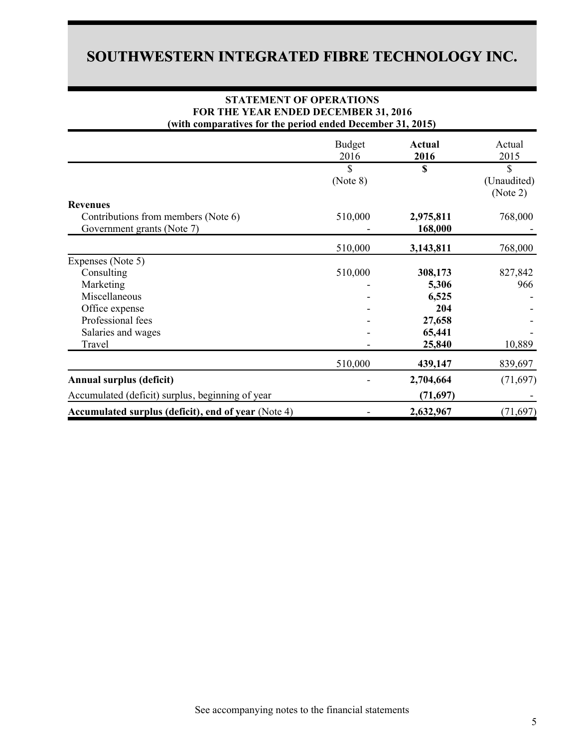|                                                                   | <b>Budget</b><br>2016 | <b>Actual</b><br>2016 | Actual<br>2015                |
|-------------------------------------------------------------------|-----------------------|-----------------------|-------------------------------|
|                                                                   | \$<br>(Note 8)        | $\mathbf S$           | \$<br>(Unaudited)<br>(Note 2) |
| <b>Revenues</b>                                                   |                       |                       |                               |
| Contributions from members (Note 6)<br>Government grants (Note 7) | 510,000               | 2,975,811<br>168,000  | 768,000                       |
|                                                                   | 510,000               | 3,143,811             | 768,000                       |
| Expenses (Note 5)                                                 |                       |                       |                               |
| Consulting                                                        | 510,000               | 308,173               | 827,842                       |
| Marketing                                                         |                       | 5,306                 | 966                           |
| Miscellaneous                                                     |                       | 6,525                 |                               |
| Office expense                                                    |                       | 204                   |                               |
| Professional fees                                                 |                       | 27,658                |                               |
| Salaries and wages                                                |                       | 65,441                |                               |
| Travel                                                            |                       | 25,840                | 10,889                        |
|                                                                   | 510,000               | 439,147               | 839,697                       |
| Annual surplus (deficit)                                          |                       | 2,704,664             | (71, 697)                     |
| Accumulated (deficit) surplus, beginning of year                  |                       | (71, 697)             |                               |
| <b>Accumulated surplus (deficit), end of year (Note 4)</b>        |                       | 2,632,967             | (71, 697)                     |

### **STATEMENT OF OPERATIONS FOR THE YEAR ENDED DECEMBER 31, 2016 (with comparatives for the period ended December 31, 2015)**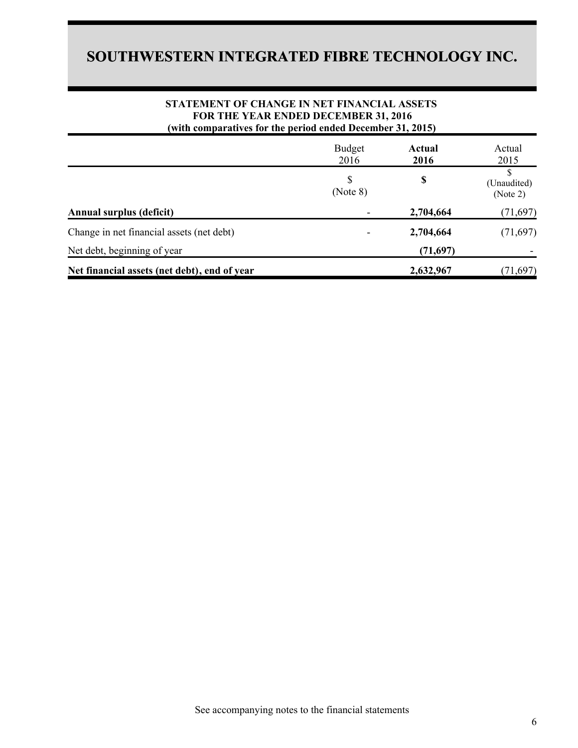| (with comparatives for the period ended December 31, 2015) |                       |                |                         |
|------------------------------------------------------------|-----------------------|----------------|-------------------------|
|                                                            | <b>Budget</b><br>2016 | Actual<br>2016 | Actual<br>2015          |
|                                                            | \$.<br>(Note 8)       | \$             | (Unaudited)<br>(Note 2) |
| Annual surplus (deficit)                                   |                       | 2,704,664      | (71, 697)               |
| Change in net financial assets (net debt)                  |                       | 2,704,664      | (71, 697)               |
| Net debt, beginning of year                                |                       | (71,697)       |                         |
| Net financial assets (net debt), end of year               |                       | 2,632,967      | (71, 697)               |

### **STATEMENT OF CHANGE IN NET FINANCIAL ASSETS FOR THE YEAR ENDED DECEMBER 31, 2016**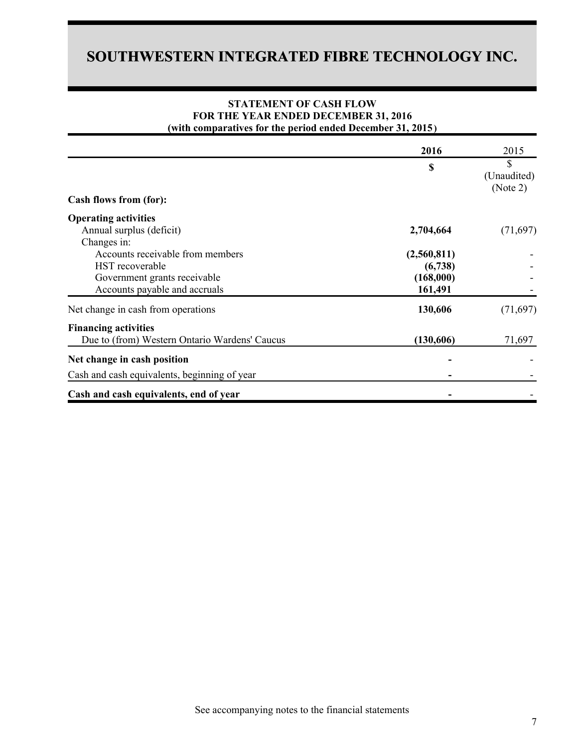| <b>STATEMENT OF CASH FLOW</b>                              |
|------------------------------------------------------------|
| FOR THE YEAR ENDED DECEMBER 31, 2016                       |
| (with comparatives for the period ended December 31, 2015) |

|                                                                                                                      | 2016                                           | 2015                          |
|----------------------------------------------------------------------------------------------------------------------|------------------------------------------------|-------------------------------|
|                                                                                                                      | \$                                             | \$<br>(Unaudited)<br>(Note 2) |
| Cash flows from (for):                                                                                               |                                                |                               |
| <b>Operating activities</b><br>Annual surplus (deficit)<br>Changes in:                                               | 2,704,664                                      | (71, 697)                     |
| Accounts receivable from members<br>HST recoverable<br>Government grants receivable<br>Accounts payable and accruals | (2,560,811)<br>(6,738)<br>(168,000)<br>161,491 |                               |
| Net change in cash from operations                                                                                   | 130,606                                        | (71, 697)                     |
| <b>Financing activities</b><br>Due to (from) Western Ontario Wardens' Caucus                                         | (130,606)                                      | 71,697                        |
| Net change in cash position                                                                                          |                                                |                               |
| Cash and cash equivalents, beginning of year                                                                         |                                                |                               |
| Cash and cash equivalents, end of year                                                                               |                                                |                               |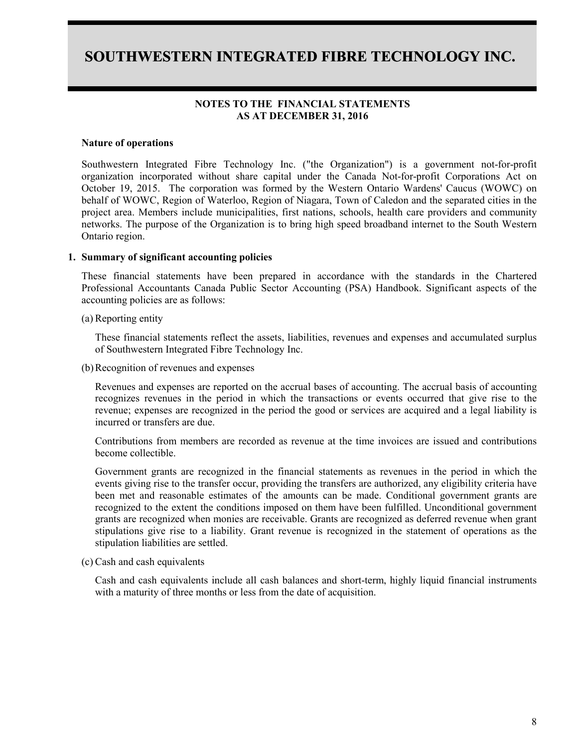### **NOTES TO THE FINANCIAL STATEMENTS AS AT DECEMBER 31, 2016**

#### **Nature of operations**

Southwestern Integrated Fibre Technology Inc. ("the Organization") is a government not-for-profit organization incorporated without share capital under the Canada Not-for-profit Corporations Act on October 19, 2015. The corporation was formed by the Western Ontario Wardens' Caucus (WOWC) on behalf of WOWC, Region of Waterloo, Region of Niagara, Town of Caledon and the separated cities in the project area. Members include municipalities, first nations, schools, health care providers and community networks. The purpose of the Organization is to bring high speed broadband internet to the South Western Ontario region.

#### **1. Summary of significant accounting policies**

These financial statements have been prepared in accordance with the standards in the Chartered Professional Accountants Canada Public Sector Accounting (PSA) Handbook. Significant aspects of the accounting policies are as follows:

(a) Reporting entity

These financial statements reflect the assets, liabilities, revenues and expenses and accumulated surplus of Southwestern Integrated Fibre Technology Inc.

(b) Recognition of revenues and expenses

Revenues and expenses are reported on the accrual bases of accounting. The accrual basis of accounting recognizes revenues in the period in which the transactions or events occurred that give rise to the revenue; expenses are recognized in the period the good or services are acquired and a legal liability is incurred or transfers are due.

Contributions from members are recorded as revenue at the time invoices are issued and contributions become collectible.

Government grants are recognized in the financial statements as revenues in the period in which the events giving rise to the transfer occur, providing the transfers are authorized, any eligibility criteria have been met and reasonable estimates of the amounts can be made. Conditional government grants are recognized to the extent the conditions imposed on them have been fulfilled. Unconditional government grants are recognized when monies are receivable. Grants are recognized as deferred revenue when grant stipulations give rise to a liability. Grant revenue is recognized in the statement of operations as the stipulation liabilities are settled.

(c) Cash and cash equivalents

Cash and cash equivalents include all cash balances and short-term, highly liquid financial instruments with a maturity of three months or less from the date of acquisition.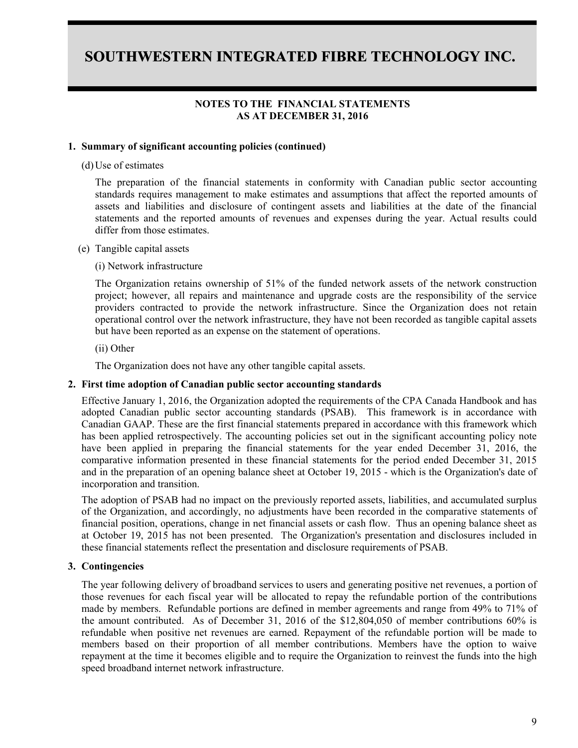### **NOTES TO THE FINANCIAL STATEMENTS AS AT DECEMBER 31, 2016**

### **1. Summary of significant accounting policies (continued)**

#### (d) Use of estimates

The preparation of the financial statements in conformity with Canadian public sector accounting standards requires management to make estimates and assumptions that affect the reported amounts of assets and liabilities and disclosure of contingent assets and liabilities at the date of the financial statements and the reported amounts of revenues and expenses during the year. Actual results could differ from those estimates.

### (e) Tangible capital assets

#### (i) Network infrastructure

The Organization retains ownership of 51% of the funded network assets of the network construction project; however, all repairs and maintenance and upgrade costs are the responsibility of the service providers contracted to provide the network infrastructure. Since the Organization does not retain operational control over the network infrastructure, they have not been recorded as tangible capital assets but have been reported as an expense on the statement of operations.

(ii) Other

The Organization does not have any other tangible capital assets.

### **2. First time adoption of Canadian public sector accounting standards**

Effective January 1, 2016, the Organization adopted the requirements of the CPA Canada Handbook and has adopted Canadian public sector accounting standards (PSAB). This framework is in accordance with Canadian GAAP. These are the first financial statements prepared in accordance with this framework which has been applied retrospectively. The accounting policies set out in the significant accounting policy note have been applied in preparing the financial statements for the year ended December 31, 2016, the comparative information presented in these financial statements for the period ended December 31, 2015 and in the preparation of an opening balance sheet at October 19, 2015 - which is the Organization's date of incorporation and transition.

The adoption of PSAB had no impact on the previously reported assets, liabilities, and accumulated surplus of the Organization, and accordingly, no adjustments have been recorded in the comparative statements of financial position, operations, change in net financial assets or cash flow. Thus an opening balance sheet as at October 19, 2015 has not been presented. The Organization's presentation and disclosures included in these financial statements reflect the presentation and disclosure requirements of PSAB.

### **3. Contingencies**

The year following delivery of broadband services to users and generating positive net revenues, a portion of those revenues for each fiscal year will be allocated to repay the refundable portion of the contributions made by members. Refundable portions are defined in member agreements and range from 49% to 71% of the amount contributed. As of December 31, 2016 of the \$12,804,050 of member contributions 60% is refundable when positive net revenues are earned. Repayment of the refundable portion will be made to members based on their proportion of all member contributions. Members have the option to waive repayment at the time it becomes eligible and to require the Organization to reinvest the funds into the high speed broadband internet network infrastructure.